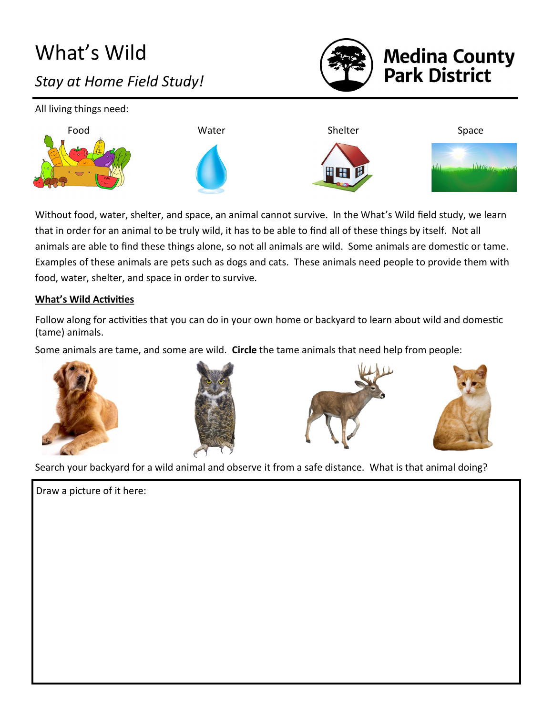# What's Wild *Stay at Home Field Study!*



# **Medina County<br>Park District**

All living things need: Food Space South Mater Shelter Shelter Space  $10$ kny

Without food, water, shelter, and space, an animal cannot survive. In the What's Wild field study, we learn that in order for an animal to be truly wild, it has to be able to find all of these things by itself. Not all animals are able to find these things alone, so not all animals are wild. Some animals are domestic or tame. Examples of these animals are pets such as dogs and cats. These animals need people to provide them with food, water, shelter, and space in order to survive.

#### **What's Wild Activities**

Follow along for activities that you can do in your own home or backyard to learn about wild and domestic (tame) animals.

Some animals are tame, and some are wild. **Circle** the tame animals that need help from people:









Search your backyard for a wild animal and observe it from a safe distance. What is that animal doing?

Draw a picture of it here: